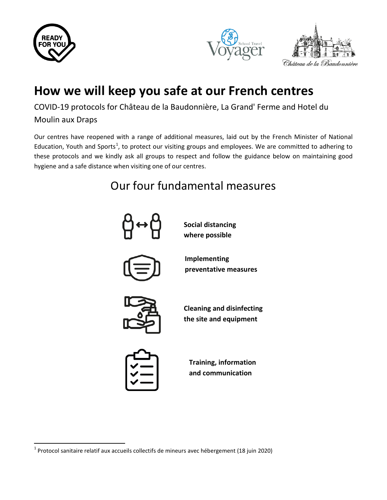





# **How we will keep you safe at our French centres**

COVID-19 protocols for Château de la Baudonnière, La Grand' Ferme and Hotel du Moulin aux Draps

Our centres have reopened with a range of additional measures, laid out by the French Minister of National Education, Youth and Sports<sup>[1](#page-0-0)</sup>, to protect our visiting groups and employees. We are committed to adhering to these protocols and we kindly ask all groups to respect and follow the guidance below on maintaining good hygiene and a safe distance when visiting one of our centres.

## Our four fundamental measures



**Social distancing where possible**





**Cleaning and disinfecting the site and equipment**



**Training, information and communication**

<span id="page-0-0"></span> <sup>1</sup> Protocol sanitaire relatif aux accueils collectifs de mineurs avec hébergement (18 juin 2020)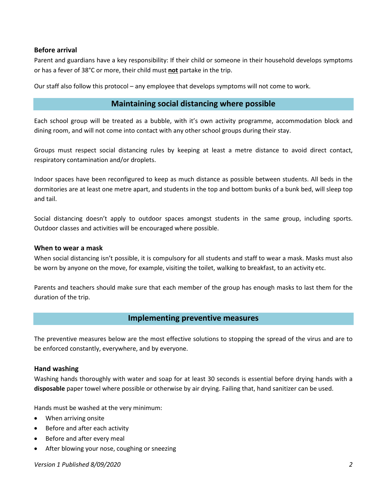### **Before arrival**

Parent and guardians have a key responsibility: If their child or someone in their household develops symptoms or has a fever of 38°C or more, their child must **not** partake in the trip.

Our staff also follow this protocol – any employee that develops symptoms will not come to work.

### **Maintaining social distancing where possible**

Each school group will be treated as a bubble, with it's own activity programme, accommodation block and dining room, and will not come into contact with any other school groups during their stay.

Groups must respect social distancing rules by keeping at least a metre distance to avoid direct contact, respiratory contamination and/or droplets.

Indoor spaces have been reconfigured to keep as much distance as possible between students. All beds in the dormitories are at least one metre apart, and students in the top and bottom bunks of a bunk bed, will sleep top and tail.

Social distancing doesn't apply to outdoor spaces amongst students in the same group, including sports. Outdoor classes and activities will be encouraged where possible.

#### **When to wear a mask**

When social distancing isn't possible, it is compulsory for all students and staff to wear a mask. Masks must also be worn by anyone on the move, for example, visiting the toilet, walking to breakfast, to an activity etc.

Parents and teachers should make sure that each member of the group has enough masks to last them for the duration of the trip.

### **Implementing preventive measures**

The preventive measures below are the most effective solutions to stopping the spread of the virus and are to be enforced constantly, everywhere, and by everyone.

### **Hand washing**

Washing hands thoroughly with water and soap for at least 30 seconds is essential before drying hands with a **disposable** paper towel where possible or otherwise by air drying. Failing that, hand sanitizer can be used.

Hands must be washed at the very minimum:

- When arriving onsite
- Before and after each activity
- Before and after every meal
- After blowing your nose, coughing or sneezing

*Version 1 Published 8/09/2020 2*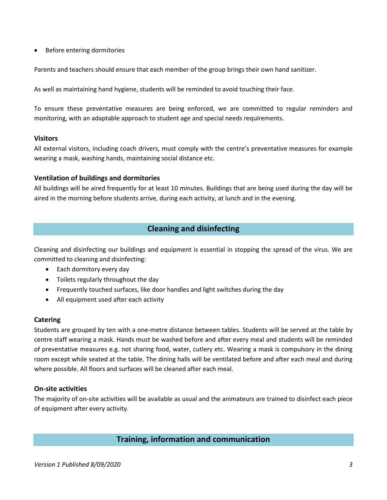Before entering dormitories

Parents and teachers should ensure that each member of the group brings their own hand sanitizer.

As well as maintaining hand hygiene, students will be reminded to avoid touching their face.

To ensure these preventative measures are being enforced, we are committed to regular reminders and monitoring, with an adaptable approach to student age and special needs requirements.

### **Visitors**

All external visitors, including coach drivers, must comply with the centre's preventative measures for example wearing a mask, washing hands, maintaining social distance etc.

### **Ventilation of buildings and dormitories**

All buildings will be aired frequently for at least 10 minutes. Buildings that are being used during the day will be aired in the morning before students arrive, during each activity, at lunch and in the evening.

### **Cleaning and disinfecting**

Cleaning and disinfecting our buildings and equipment is essential in stopping the spread of the virus. We are committed to cleaning and disinfecting:

- Each dormitory every day
- Toilets regularly throughout the day
- Frequently touched surfaces, like door handles and light switches during the day
- All equipment used after each activity

### **Catering**

Students are grouped by ten with a one-metre distance between tables. Students will be served at the table by centre staff wearing a mask. Hands must be washed before and after every meal and students will be reminded of preventative measures e.g. not sharing food, water, cutlery etc. Wearing a mask is compulsory in the dining room except while seated at the table. The dining halls will be ventilated before and after each meal and during where possible. All floors and surfaces will be cleaned after each meal.

### **On-site activities**

The majority of on-site activities will be available as usual and the animateurs are trained to disinfect each piece of equipment after every activity.

### **Training, information and communication**